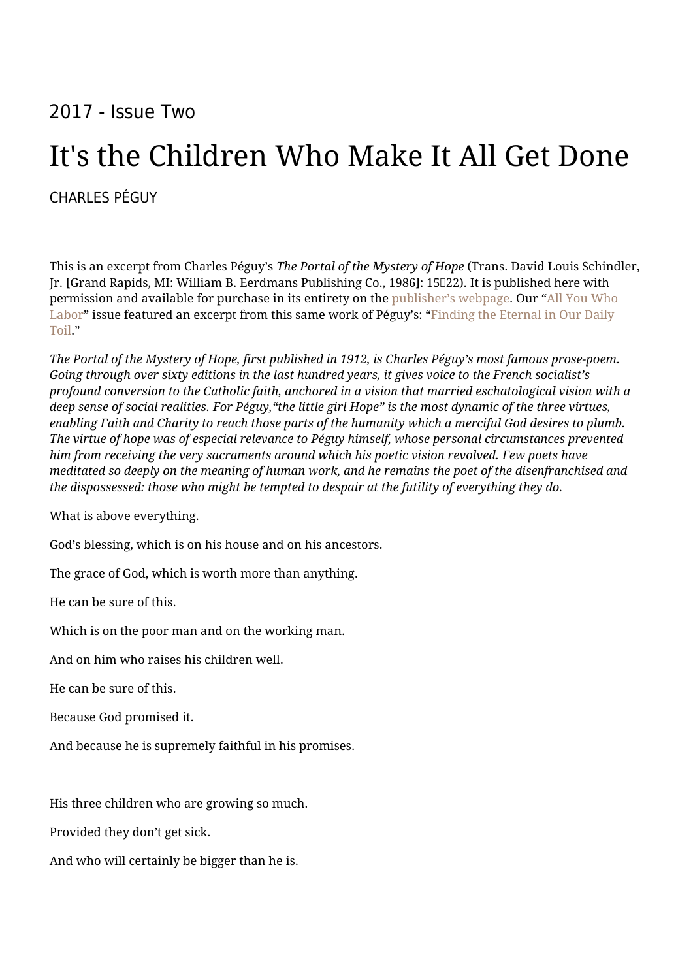## 2017 - Issue Two

## It's the Children Who Make It All Get Done

## [CHARLES PÉGUY](https://humanumreview.com/contributors/charles-péguy)

This is an excerpt from Charles Péguy's *The Portal of the Mystery of Hope* (Trans. David Louis Schindler, Jr. [Grand Rapids, MI: William B. Eerdmans Publishing Co., 1986]: 15022). It is published here with permission and available for purchase in its entirety on the [publisher's webpage.](http://www.eerdmans.com/Products/0899/the-portal-of-the-mystery-of-hope.aspx) Our "[All You Who](http://humanumreview.com/issues/all-you-who-labor-man-and-the-vocation-to-work) [Labor"](http://humanumreview.com/issues/all-you-who-labor-man-and-the-vocation-to-work) issue featured an excerpt from this same work of Péguy's: ["Finding the Eternal in Our Daily](http://humanumreview.com/articles/finding-the-eternal-in-our-daily-toil) [Toil](http://humanumreview.com/articles/finding-the-eternal-in-our-daily-toil)."

*The Portal of the Mystery of Hope, first published in 1912, is Charles Péguy's most famous prose-poem. Going through over sixty editions in the last hundred years, it gives voice to the French socialist's profound conversion to the Catholic faith, anchored in a vision that married eschatological vision with a deep sense of social realities. For Péguy,"the little girl Hope" is the most dynamic of the three virtues, enabling Faith and Charity to reach those parts of the humanity which a merciful God desires to plumb. The virtue of hope was of especial relevance to Péguy himself, whose personal circumstances prevented him from receiving the very sacraments around which his poetic vision revolved. Few poets have meditated so deeply on the meaning of human work, and he remains the poet of the disenfranchised and the dispossessed: those who might be tempted to despair at the futility of everything they do.*

What is above everything.

God's blessing, which is on his house and on his ancestors.

The grace of God, which is worth more than anything.

He can be sure of this.

Which is on the poor man and on the working man.

And on him who raises his children well.

He can be sure of this.

Because God promised it.

And because he is supremely faithful in his promises.

His three children who are growing so much.

Provided they don't get sick.

And who will certainly be bigger than he is.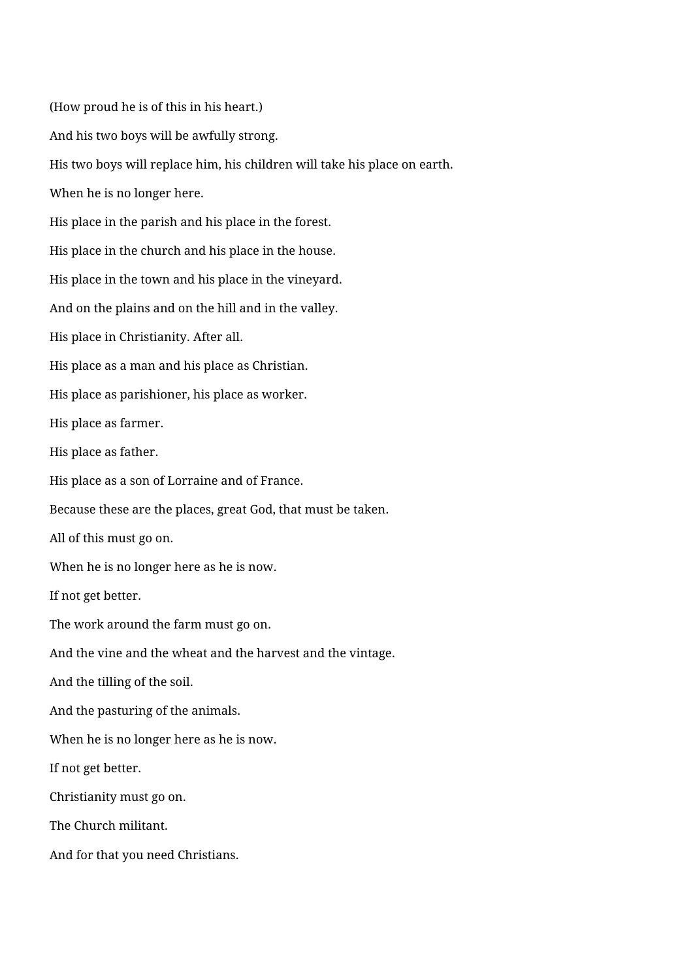(How proud he is of this in his heart.) And his two boys will be awfully strong. His two boys will replace him, his children will take his place on earth. When he is no longer here. His place in the parish and his place in the forest. His place in the church and his place in the house. His place in the town and his place in the vineyard. And on the plains and on the hill and in the valley. His place in Christianity. After all. His place as a man and his place as Christian. His place as parishioner, his place as worker. His place as farmer. His place as father. His place as a son of Lorraine and of France. Because these are the places, great God, that must be taken. All of this must go on. When he is no longer here as he is now. If not get better. The work around the farm must go on. And the vine and the wheat and the harvest and the vintage. And the tilling of the soil. And the pasturing of the animals. When he is no longer here as he is now. If not get better. Christianity must go on. The Church militant. And for that you need Christians.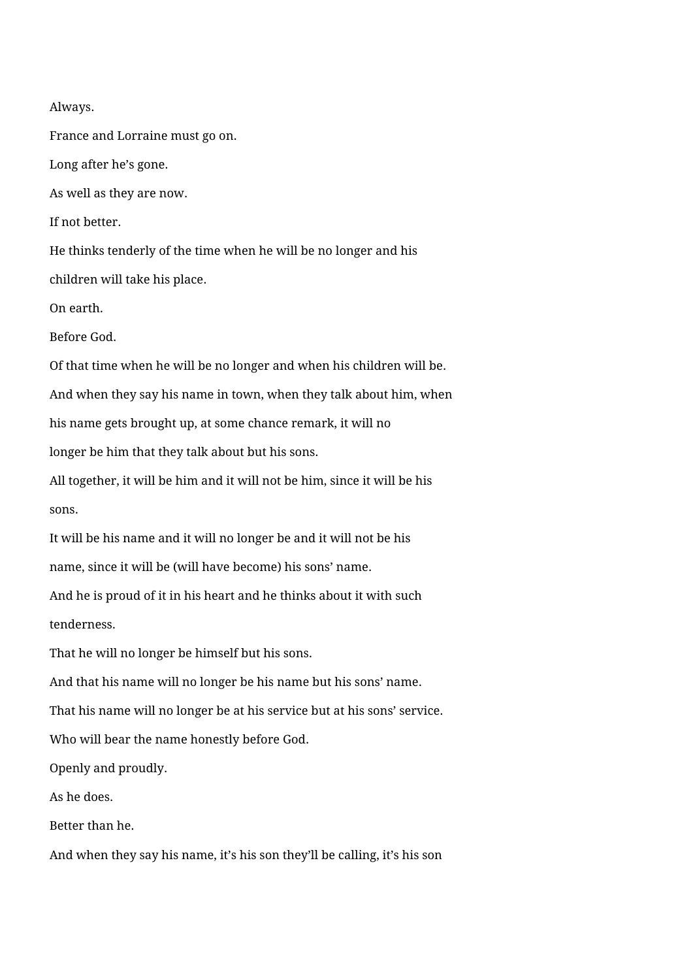Always.

France and Lorraine must go on.

Long after he's gone.

As well as they are now.

If not better.

He thinks tenderly of the time when he will be no longer and his children will take his place.

On earth.

Before God.

Of that time when he will be no longer and when his children will be.

And when they say his name in town, when they talk about him, when

his name gets brought up, at some chance remark, it will no

longer be him that they talk about but his sons.

All together, it will be him and it will not be him, since it will be his sons.

It will be his name and it will no longer be and it will not be his

name, since it will be (will have become) his sons' name.

And he is proud of it in his heart and he thinks about it with such tenderness.

That he will no longer be himself but his sons.

And that his name will no longer be his name but his sons' name.

That his name will no longer be at his service but at his sons' service.

Who will bear the name honestly before God.

Openly and proudly.

As he does.

Better than he.

And when they say his name, it's his son they'll be calling, it's his son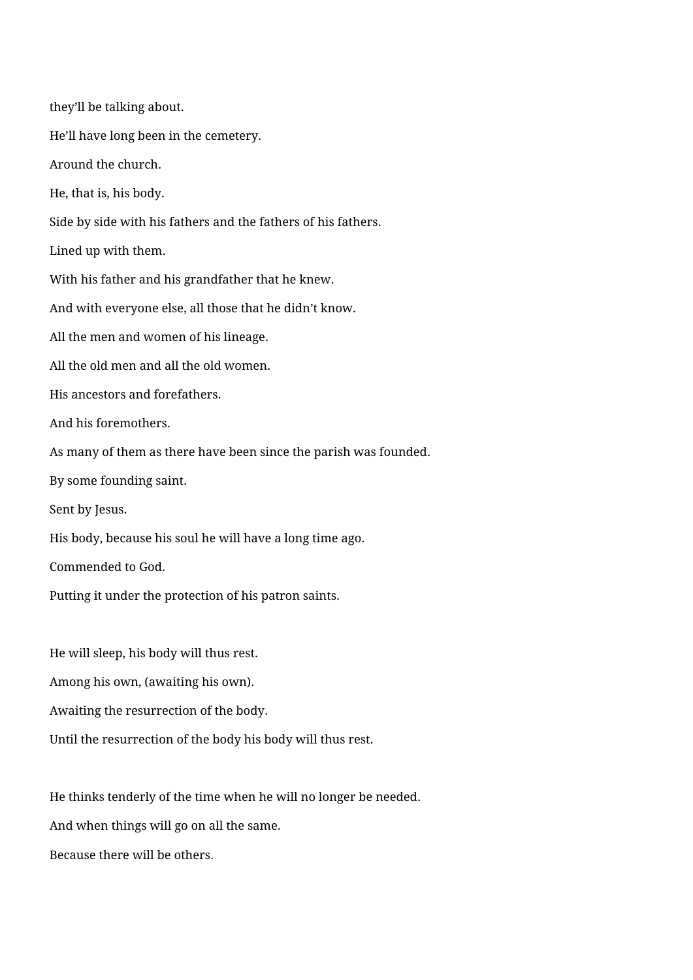they'll be talking about. He'll have long been in the cemetery. Around the church. He, that is, his body. Side by side with his fathers and the fathers of his fathers. Lined up with them. With his father and his grandfather that he knew. And with everyone else, all those that he didn't know. All the men and women of his lineage. All the old men and all the old women. His ancestors and forefathers. And his foremothers. As many of them as there have been since the parish was founded. By some founding saint. Sent by Jesus. His body, because his soul he will have a long time ago. Commended to God. Putting it under the protection of his patron saints. He will sleep, his body will thus rest.

Among his own, (awaiting his own).

Awaiting the resurrection of the body.

Until the resurrection of the body his body will thus rest.

He thinks tenderly of the time when he will no longer be needed.

And when things will go on all the same.

Because there will be others.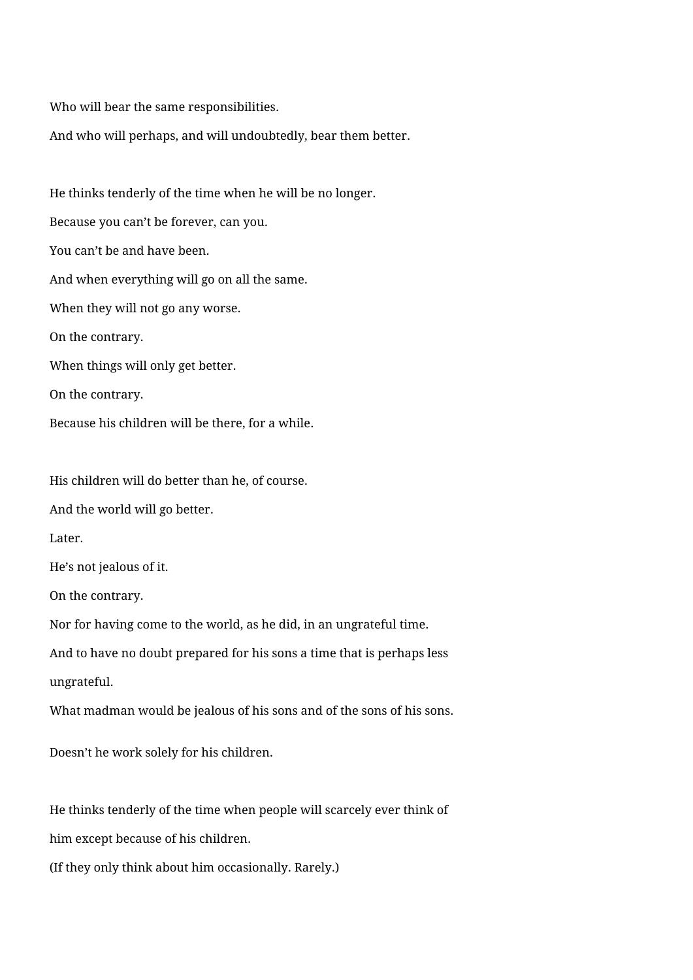Who will bear the same responsibilities.

And who will perhaps, and will undoubtedly, bear them better.

He thinks tenderly of the time when he will be no longer. Because you can't be forever, can you. You can't be and have been. And when everything will go on all the same. When they will not go any worse. On the contrary. When things will only get better. On the contrary. Because his children will be there, for a while.

His children will do better than he, of course.

And the world will go better.

Later.

He's not jealous of it.

On the contrary.

Nor for having come to the world, as he did, in an ungrateful time.

And to have no doubt prepared for his sons a time that is perhaps less

ungrateful.

What madman would be jealous of his sons and of the sons of his sons.

Doesn't he work solely for his children.

He thinks tenderly of the time when people will scarcely ever think of

him except because of his children.

(If they only think about him occasionally. Rarely.)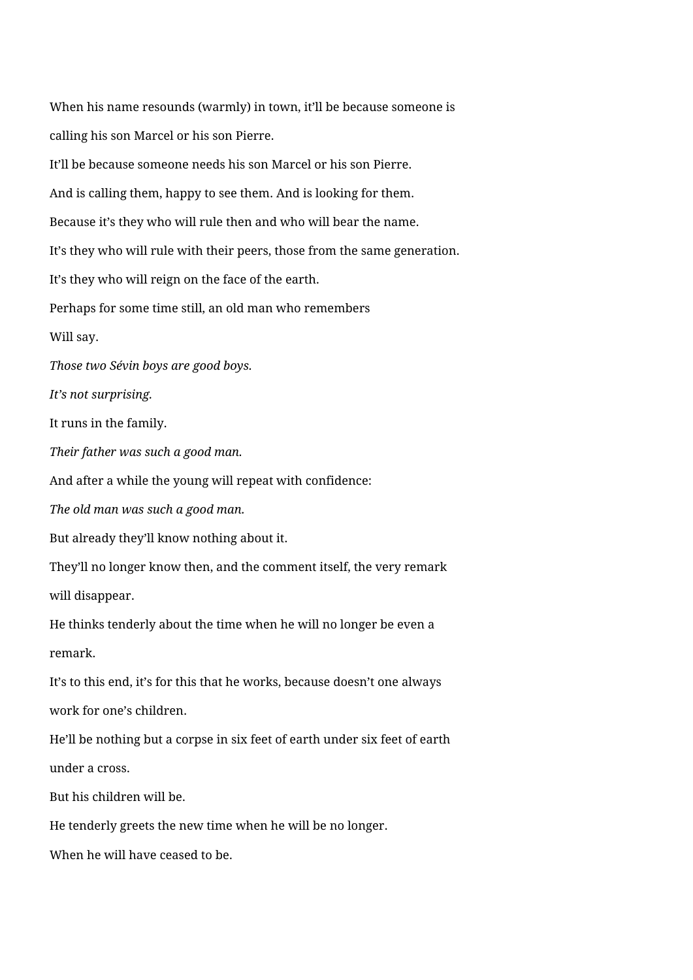When his name resounds (warmly) in town, it'll be because someone is calling his son Marcel or his son Pierre. It'll be because someone needs his son Marcel or his son Pierre. And is calling them, happy to see them. And is looking for them. Because it's they who will rule then and who will bear the name. It's they who will rule with their peers, those from the same generation. It's they who will reign on the face of the earth. Perhaps for some time still, an old man who remembers Will say. *Those two Sévin boys are good boys. It's not surprising.* It runs in the family. *Their father was such a good man.* And after a while the young will repeat with confidence: *The old man was such a good man.* But already they'll know nothing about it. They'll no longer know then, and the comment itself, the very remark will disappear. He thinks tenderly about the time when he will no longer be even a remark. It's to this end, it's for this that he works, because doesn't one always work for one's children. He'll be nothing but a corpse in six feet of earth under six feet of earth under a cross. But his children will be. He tenderly greets the new time when he will be no longer. When he will have ceased to be.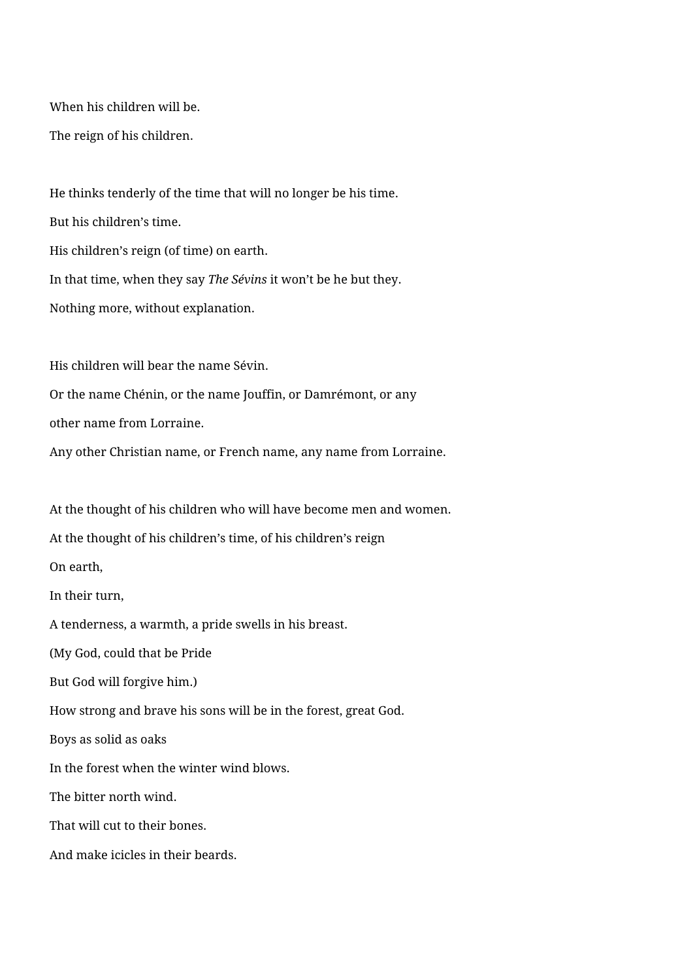When his children will be.

The reign of his children.

He thinks tenderly of the time that will no longer be his time. But his children's time. His children's reign (of time) on earth. In that time, when they say *The Sévins* it won't be he but they. Nothing more, without explanation.

His children will bear the name Sévin.

Or the name Chénin, or the name Jouffin, or Damrémont, or any

other name from Lorraine.

Any other Christian name, or French name, any name from Lorraine.

At the thought of his children who will have become men and women. At the thought of his children's time, of his children's reign On earth, In their turn, A tenderness, a warmth, a pride swells in his breast. (My God, could that be Pride But God will forgive him.) How strong and brave his sons will be in the forest, great God. Boys as solid as oaks In the forest when the winter wind blows. The bitter north wind. That will cut to their bones. And make icicles in their beards.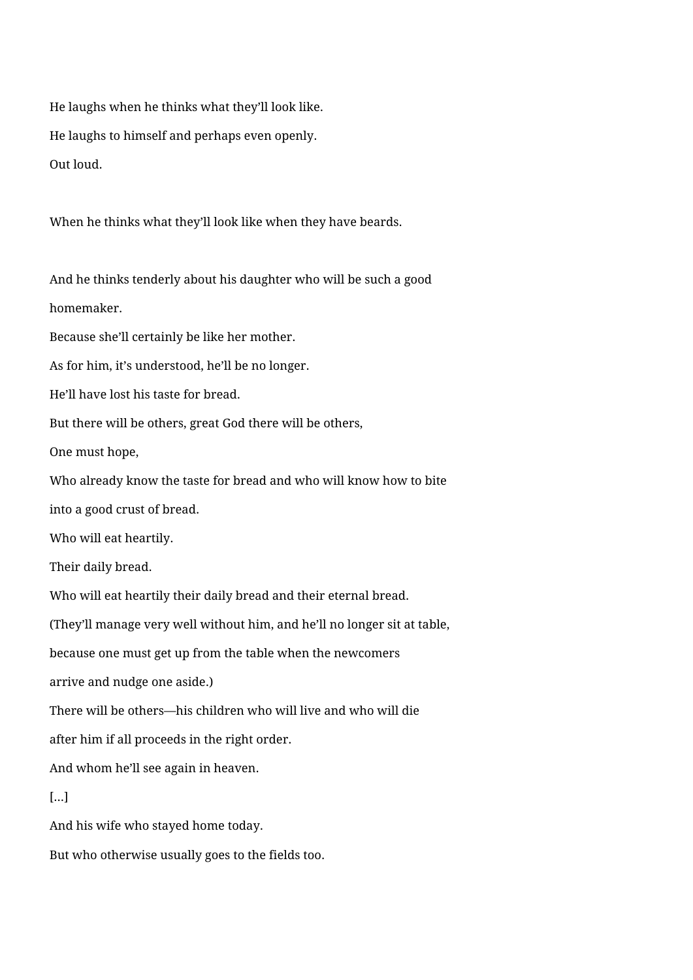He laughs when he thinks what they'll look like. He laughs to himself and perhaps even openly. Out loud.

When he thinks what they'll look like when they have beards.

And he thinks tenderly about his daughter who will be such a good homemaker.

Because she'll certainly be like her mother.

As for him, it's understood, he'll be no longer.

He'll have lost his taste for bread.

But there will be others, great God there will be others,

One must hope,

Who already know the taste for bread and who will know how to bite

into a good crust of bread.

Who will eat heartily.

Their daily bread.

Who will eat heartily their daily bread and their eternal bread.

(They'll manage very well without him, and he'll no longer sit at table,

because one must get up from the table when the newcomers

arrive and nudge one aside.)

There will be others—his children who will live and who will die

after him if all proceeds in the right order.

And whom he'll see again in heaven.

## […]

And his wife who stayed home today.

But who otherwise usually goes to the fields too.